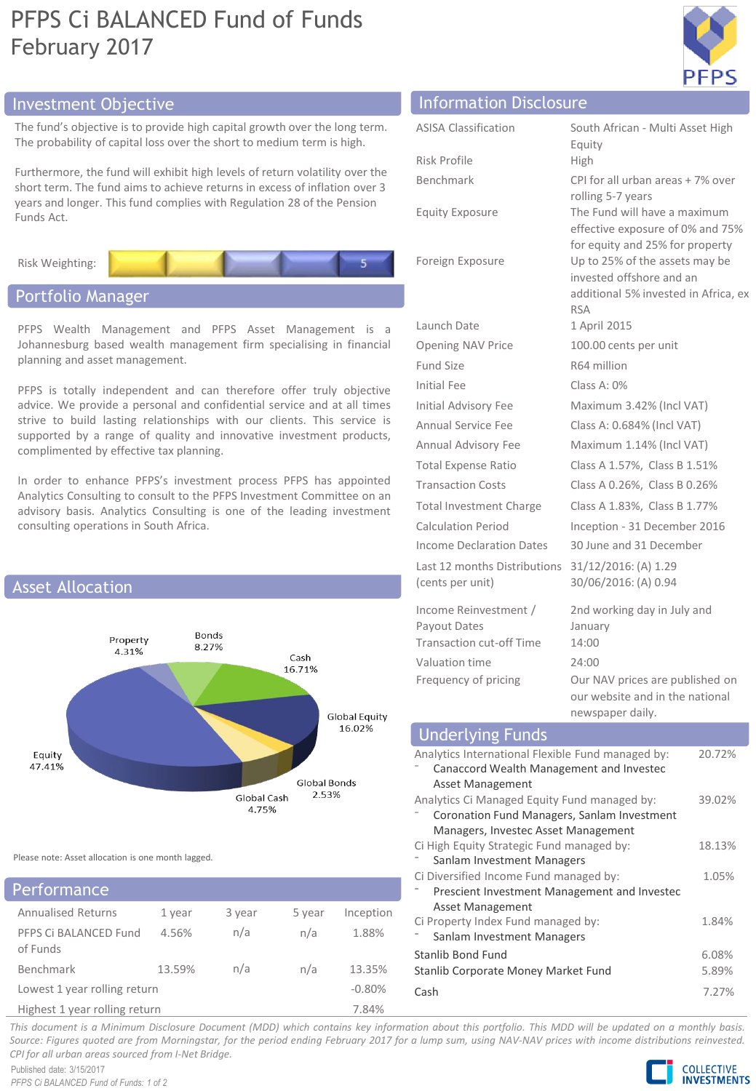# PFPS Ci BALANCED Fund of Funds February 2017



## Investment Objective Information Disclosure

The fund's objective is to provide high capital growth over the long term. The probability of capital loss over the short to medium term is high.

Furthermore, the fund will exhibit high levels of return volatility over the short term. The fund aims to achieve returns in excess of inflation over 3 years and longer. This fund complies with Regulation 28 of the Pension Funds Act.



### Portfolio Manager

PFPS Wealth Management and PFPS Asset Management is a Johannesburg based wealth management firm specialising in financial planning and asset management.

PFPS is totally independent and can therefore offer truly objective advice. We provide a personal and confidential service and at all times strive to build lasting relationships with our clients. This service is supported by a range of quality and innovative investment products, complimented by effective tax planning.

In order to enhance PFPS's investment process PFPS has appointed Analytics Consulting to consult to the PFPS Investment Committee on an advisory basis. Analytics Consulting is one of the leading investment consulting operations in South Africa.



Please note: Asset allocation is one month lagged.

## Performance

| .                                 |        |        |        |           |
|-----------------------------------|--------|--------|--------|-----------|
| <b>Annualised Returns</b>         | 1 year | 3 year | 5 year | Inception |
| PFPS Ci BALANCED Fund<br>of Funds | 4.56%  | n/a    | n/a    | 1.88%     |
| Benchmark                         | 13.59% | n/a    | n/a    | 13.35%    |
| Lowest 1 year rolling return      |        |        |        | $-0.80%$  |
| Highest 1 year rolling return     |        |        |        | 7.84%     |

| <b>ASISA Classification</b>     | South African - Multi Asset High                                   |  |
|---------------------------------|--------------------------------------------------------------------|--|
|                                 | Equity                                                             |  |
| <b>Risk Profile</b>             | High                                                               |  |
| Benchmark                       | CPI for all urban areas + 7% over                                  |  |
| <b>Equity Exposure</b>          | rolling 5-7 years<br>The Fund will have a maximum                  |  |
|                                 | effective exposure of 0% and 75%                                   |  |
|                                 | for equity and 25% for property                                    |  |
| Foreign Exposure                | Up to 25% of the assets may be                                     |  |
|                                 | invested offshore and an<br>additional 5% invested in Africa, ex   |  |
|                                 | <b>RSA</b>                                                         |  |
| Launch Date                     | 1 April 2015                                                       |  |
| <b>Opening NAV Price</b>        | 100.00 cents per unit                                              |  |
| Fund Size                       | R64 million                                                        |  |
| Initial Fee                     | Class A: $0\%$                                                     |  |
| Initial Advisory Fee            | Maximum 3.42% (Incl VAT)                                           |  |
| <b>Annual Service Fee</b>       | Class A: 0.684% (Incl VAT)                                         |  |
| Annual Advisory Fee             | Maximum 1.14% (Incl VAT)                                           |  |
| <b>Total Expense Ratio</b>      | Class A 1.57%, Class B 1.51%                                       |  |
| <b>Transaction Costs</b>        | Class A 0.26%, Class B 0.26%                                       |  |
| <b>Total Investment Charge</b>  | Class A 1.83%, Class B 1.77%                                       |  |
| Calculation Period              | Inception - 31 December 2016                                       |  |
| Income Declaration Dates        | 30 June and 31 December                                            |  |
| Last 12 months Distributions    | 31/12/2016: (A) 1.29                                               |  |
| (cents per unit)                | 30/06/2016: (A) 0.94                                               |  |
| Income Reinvestment /           | 2nd working day in July and                                        |  |
| Payout Dates                    | January                                                            |  |
| <b>Transaction cut-off Time</b> | 14:00                                                              |  |
| Valuation time                  | 24:00                                                              |  |
| Frequency of pricing            | Our NAV prices are published on<br>our website and in the national |  |
|                                 |                                                                    |  |

#### newspaper daily. Analytics International Flexible Fund managed by: ⁻ Canaccord Wealth Management and Investec Asset Management 20.72% Analytics Ci Managed Equity Fund managed by: ⁻ Coronation Fund Managers, Sanlam Investment Managers, Investec Asset Management 39.02% Ci High Equity Strategic Fund managed by: Sanlam Investment Managers 18.13% Ci Diversified Income Fund managed by: ⁻ Prescient Investment Management and Investec Asset Management 1.05% Ci Property Index Fund managed by: Sanlam Investment Managers 1.84% Stanlib Bond Fund 6.08% Stanlib Corporate Money Market Fund 5.89% Cash 7.27% Underlying Funds

This document is a Minimum Disclosure Document (MDD) which contains key information about this portfolio. This MDD will be updated on a monthly basis. Source: Figures quoted are from Morningstar, for the period ending February 2017 for a lump sum, using NAV-NAV prices with income distributions reinvested. *CPI for all urban areas sourced from I-Net Bridge.*

Published date: 3/15/2017 *PFPS Ci BALANCED Fund of Funds: 1 of 2*